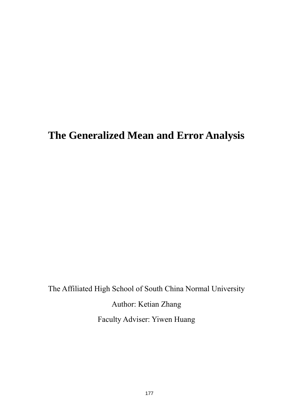# **The Generalized Mean and Error Analysis**

The Affiliated High School of South China Normal University

Author: Ketian Zhang

Faculty Adviser: Yiwen Huang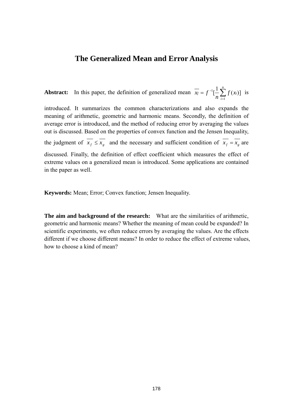## **The Generalized Mean and Error Analysis**

**Abstract:** In this paper, the definition of generalized mean  $\overline{x_j} = f^{-1} \left[ \frac{1}{n} \sum_{i=1}^{n} f(x_i) \right]$ 1  $= f^{-1} \left[ \frac{1}{n} \sum_{i=1}^{n} \right]$ *i*  $f = f^{-1}[-\sum f(x_i)]$ *n*  $x_f = f^{-1}[-\sum f(x_i)]$  is

introduced. It summarizes the common characterizations and also expands the meaning of arithmetic, geometric and harmonic means. Secondly, the definition of average error is introduced, and the method of reducing error by averaging the values out is discussed. Based on the properties of convex function and the Jensen Inequality, the judgment of  $\overline{x_f} \le \overline{x_g}$  and the necessary and sufficient condition of  $\overline{x_f} = \overline{x_g}$  are discussed. Finally, the definition of effect coefficient which measures the effect of extreme values on a generalized mean is introduced. Some applications are contained in the paper as well.

**Keywords:** Mean; Error; Convex function; Jensen Inequality.

**The aim and background of the research:** What are the similarities of arithmetic, geometric and harmonic means? Whether the meaning of mean could be expanded? In scientific experiments, we often reduce errors by averaging the values. Are the effects different if we choose different means? In order to reduce the effect of extreme values, how to choose a kind of mean?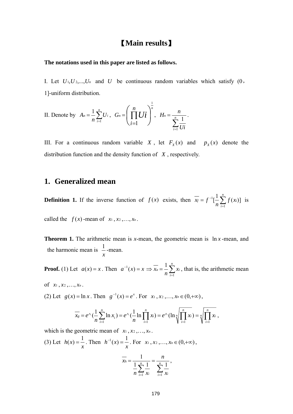## 【**Main results**】

#### **The notations used in this paper are listed as follows.**

I. Let  $U_1, U_2, \ldots, U_n$  and *U* be continuous random variables which satisfy  $(0, 0)$ 1]-uniform distribution.

II. Denote by 
$$
A_n = \frac{1}{n} \sum_{i=1}^n U_i
$$
,  $G_n = \left(\prod_{i=1}^n U_i\right)^{\frac{1}{n}}$ ,  $H_n = \frac{n}{\sum_{i=1}^n \frac{1}{U_i}}$ .

III. For a continuous random variable *X*, let  $F_x(x)$  and  $p_x(x)$  denote the distribution function and the density function of *X* , respectively.

## **1. Generalized mean**

**Definition 1.** If the inverse function of  $f(x)$  exists, then  $\overline{x_f} = f^{-1}[\frac{1}{n} \sum_{i=1}^{n} f(x_i)]$ 1  $= f^{-1} \left[ \frac{1}{n} \sum_{i=1}^{n} \right]$ *i*  $f = f^{-1}[-\sum f(x_i)]$ *n*  $x_f = f^{-1}[-\sum f(x_i)]$  is

called the  $f(x)$ -mean of  $x_1, x_2, \ldots, x_n$ .

**Theorem 1.** The arithmetic mean is *x*-mean, the geometric mean is  $\ln x$ -mean, and the harmonic mean is *x*  $\frac{1}{1}$ -mean.

**Proof.** (1) Let  $a(x) = x$ . Then  $a^{-1}(x) = x \implies \overline{x_a} = \frac{1}{n} \sum_{i=1}^{n}$ *i*  $a = \frac{1}{\sqrt{2}} \sum_i x_i$ *n x* 1  $\frac{1}{n} \sum_{i=1}^{n} x_i$ , that is, the arithmetic mean

of *x*<sup>1</sup> , *x*<sup>2</sup> ,…, *xn* .

(2) Let  $g(x) = \ln x$ . Then  $g^{-1}(x) = e^x$ . For  $x_1, x_2, ..., x_n \in (0, +\infty)$ ,

$$
\overline{x_s} = e^{\wedge} \left( \frac{1}{n} \sum_{i=1}^n \ln x_i \right) = e^{\wedge} \left( \frac{1}{n} \ln \prod_{i=1}^n x_i \right) = e^{\wedge} \left( \ln \sqrt[n]{\prod_{i=1}^n x_i} \right) = \sqrt[n]{\prod_{i=1}^n x_i},
$$

which is the geometric mean of  $x_1, x_2, \ldots, x_n$ .

(3) Let 
$$
h(x) = \frac{1}{x}
$$
. Then  $h^{-1}(x) = \frac{1}{x}$ . For  $x_1, x_2, ..., x_n \in (0, +\infty)$ ,  

$$
\frac{1}{x_h} = \frac{1}{\frac{1}{n} \sum_{i=1}^n \frac{1}{x_i}} = \frac{n}{\sum_{i=1}^n \frac{1}{x_i}},
$$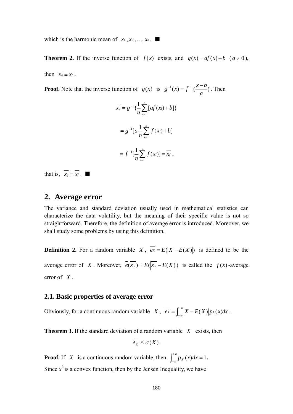which is the harmonic mean of  $x_1, x_2, \ldots, x_n$ . ■

**Theorem 2.** If the inverse function of  $f(x)$  exists, and  $g(x) = af(x) + b$  ( $a \ne 0$ ), then  $x_g \equiv x_f$ .

**Proof.** Note that the inverse function of  $g(x)$  is  $g^{-1}(x) = f^{-1}(\frac{x-y}{n})$ *a*  $g^{-1}(x) = f^{-1}(\frac{x-b}{x})$ . Then

$$
\overline{x_s} = g^{-1} \{ \frac{1}{n} \sum_{i=1}^n [af(x_i) + b] \}
$$

$$
= g^{-1} [a \frac{1}{n} \sum_{i=1}^n f(x_i) + b]
$$

$$
= f^{-1} [\frac{1}{n} \sum_{i=1}^n f(x_i)] = \overline{x_f} ,
$$

that is,  $\overline{x_g} = \overline{x_f}$ .

## **2. Average error**

The variance and standard deviation usually used in mathematical statistics can characterize the data volatility, but the meaning of their specific value is not so straightforward. Therefore, the definition of average error is introduced. Moreover, we shall study some problems by using this definition.

**Definition 2.** For a random variable *X*,  $\overline{ex} = E(|X - E(X)|)$  is defined to be the average error of *X*. Moreover,  $e(x_f) = E(|x_f - E(X)|)$  is called the  $f(x)$ -average error of *X* .

#### **2.1. Basic properties of average error**

Obviously, for a continuous random variable *X*,  $\overline{ex} = \int_{-\infty}^{+\infty} |X - E(X)| p_X(x) dx$ .

**Theorem 3.** If the standard deviation of a random variable *X* exists, then

$$
\overline{e_X} \leq \sigma(X).
$$

**Proof.** If *X* is a continuous random variable, then  $\int_{-\infty}^{+\infty} p_X(x) dx = 1$ . Since  $x^2$  is a convex function, then by the Jensen Inequality, we have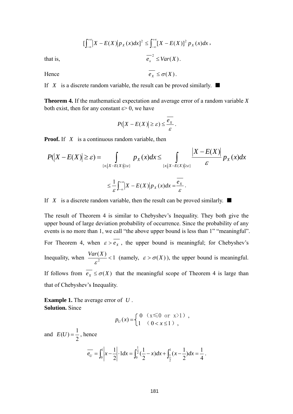$$
\left[\int_{-\infty}^{+\infty} |X - E(X)| p_X(x) dx\right]^2 \le \int_{-\infty}^{+\infty} [X - E(X)]^2 p_X(x) dx,
$$
  
that is,  

$$
\frac{-2}{e_X} \le Var(X).
$$

Hence  $\overline{e_v} \leq \sigma(X)$ .

If *X* is a discrete random variable, the result can be proved similarly.  $\blacksquare$ 

**Theorem 4.** If the mathematical expectation and average error of a random variable *X*  both exist, then for any constant  $\varepsilon$  > 0, we have

$$
P(|X - E(X)| \geq \varepsilon) \leq \frac{e_X}{\varepsilon}.
$$

**Proof.** If *X* is a continuous random variable, then

$$
P(|X - E(X)| \geq \varepsilon) = \int_{\{x: |X - E(X)| \geq \varepsilon\}} p_X(x) dx \leq \int_{\{x: |X - E(X)| \geq \varepsilon\}} \frac{|X - E(X)|}{\varepsilon} p_X(x) dx
$$

$$
\leq \frac{1}{\varepsilon} \int_{-\infty}^{+\infty} |X - E(X)| p_X(x) dx = \frac{\overline{e_X}}{\varepsilon}.
$$

If *X* is a discrete random variable, then the result can be proved similarly.  $\blacksquare$ 

The result of Theorem 4 is similar to Chebyshev's Inequality. They both give the upper bound of large deviation probability of occurrence. Since the probability of any events is no more than 1, we call "the above upper bound is less than 1" "meaningful".

For Theorem 4, when  $\varepsilon > \overline{e_{x}}$ , the upper bound is meaningful; for Chebyshev's Inequality, when  $\frac{Var(X)}{\varepsilon^2}$  < 1 (namely,  $\varepsilon > \sigma(X)$ ), the upper bound is meaningful. If follows from  $\overline{e_x} \leq \sigma(X)$  that the meaningful scope of Theorem 4 is large than that of Chebyshev's Inequality.

**Example 1.** The average error of *U* . **Solution.** Since

$$
p_U(x) = \begin{cases} 0 & (x \le 0 \text{ or } x > 1) \\ 1 & (0 < x \le 1) \end{cases},
$$

and 2  $E(U) = \frac{1}{2}$ , hence 4  $dx = \frac{1}{4}$  $\frac{1}{2} \cdot 1 dx = \int_0^{\frac{1}{2}} (\frac{1}{2} - x) dx + \int_{\frac{1}{2}}^{\frac{1}{2}} (x - \frac{1}{2}) dx$ 0 1 2 1 1  $e_U = \int_0^1 \left|x - \frac{1}{2}\right| \cdot 1 dx = \int_0^2 \left(\frac{1}{2} - x\right) dx + \int_{\frac{1}{2}}^1 \left(x - \frac{1}{2}\right) dx = \frac{1}{4}.$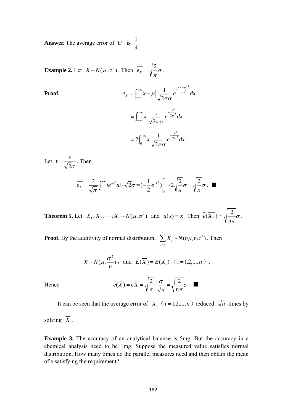**Answer.** The average error of *U* is 4  $\frac{1}{1}$ .

**Example 2.** Let  $X \sim N(\mu, \sigma^2)$ . Then  $e_X = \sqrt{\frac{2}{\pi}} \sigma$  $\overline{e_{x}} = \sqrt{\frac{2}{-\sigma}}$ .

Proof.  
\n
$$
\overline{e_x} = \int_{-\infty}^{+\infty} |x - \mu| \frac{1}{\sqrt{2\pi}\sigma} e^{-\frac{(x-\mu)^2}{2\sigma^2}} dx
$$
\n
$$
= \int_{-\infty}^{+\infty} |x| \frac{1}{\sqrt{2\pi}\sigma} e^{-\frac{x^2}{2\sigma^2}} dx
$$
\n
$$
= 2 \int_{0}^{+\infty} x \frac{1}{\sqrt{2\pi}\sigma} e^{-\frac{x^2}{2\sigma^2}} dx.
$$

Let  $2\sigma$  $t = \frac{x}{\sqrt{2}}$ . Then

$$
\overline{e_x} = \frac{2}{\sqrt{\pi}} \int_0^{+\infty} t e^{-t^2} dt \cdot \sqrt{2} \sigma = \left(-\frac{1}{2} e^{-t^2}\right) \Big|_0^{+\infty} \cdot 2 \sqrt{\frac{2}{\pi}} \sigma = \sqrt{\frac{2}{\pi}} \sigma.
$$

**Theorem 5.** Let  $X_1, X_2, \dots, X_n \sim N(\mu, \sigma^2)$  and  $a(x) = x$ . Then  $e(X_a) = \sqrt{\frac{2}{n}} \sigma^2$  $\overline{e}(\overline{X}_a) = \sqrt{\frac{2}{n\pi}}\sigma$ .

**Proof.** By the additivity of normal distribution,  $\sum_{i=1}^{n} X_i \sim N(n\mu, n\sigma^2)$ . Then *i Xi* 1  $N(n\mu, n\sigma^2)$ 

$$
\overline{X}
$$
 ~  $N(\mu, \frac{\sigma^2}{n})$ , and  $E(\overline{X}) = E(X_i)$   $(i = 1, 2, ..., n)$ .

Hence 
$$
\overline{e(X)} = \overline{eX} = \sqrt{\frac{2}{\pi}} \cdot \frac{\sigma}{\sqrt{n}} = \sqrt{\frac{2}{n\pi}} \sigma
$$
.

It can be seen that the average error of  $X_i$  ( $i = 1, 2, ..., n$ ) reduced  $\sqrt{n}$ -times by

solving  $\overline{X}$ .

**Example 3.** The accuracy of an analytical balance is 5mg. But the accuracy in a chemical analysis need to be 1mg. Suppose the measured value satisfies normal distribution. How many times do the parallel measures need and then obtain the mean of *x* satisfying the requirement?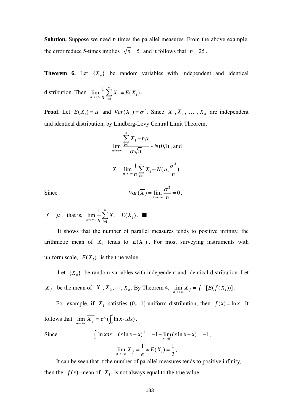**Solution.** Suppose we need *n* times the parallel measures. From the above example, the error reduce 5-times implies  $\sqrt{n} = 5$ , and it follows that  $n = 25$ .

**Theorem 6.** Let  $\{X_n\}$  be random variables with independent and identical distribution. Then  $\lim_{n \to \infty} \frac{1}{n} \sum_{i=1}^{n} X_i = E(X_i)$ 1 *i n*  $\lim_{n \to \infty} \frac{1}{n} \sum_{i=1}^{n} X_i = E(X_i)$ .

**Proof.** Let  $E(X_i) = \mu$  and  $Var(X_i) = \sigma^2$ . Since  $X_1, X_2, \ldots, X_n$  are independent and identical distribution, by Lindberg-Levy Central Limit Theorem,

$$
\lim_{n \to +\infty} \frac{\sum_{i=1}^{n} X_i - n\mu}{\sigma \sqrt{n}} \sim N(0,1), \text{ and}
$$
  

$$
\overline{X} = \lim_{n \to +\infty} \frac{1}{n} \sum_{i=1}^{n} X_i \sim N(\mu, \frac{\sigma^2}{n}).
$$
  
Since  

$$
Var(\overline{X}) = \lim_{n \to +\infty} \frac{\sigma^2}{n} = 0,
$$

$$
\overline{X} = \mu
$$
, that is,  $\lim_{n \to \infty} \frac{1}{n} \sum_{i=1}^{n} X_i = E(X_i)$ .

It shows that the number of parallel measures tends to positive infinity, the arithmetic mean of  $X_i$  tends to  $E(X_i)$ . For most surveying instruments with uniform scale,  $E(X_i)$  is the true value.

Let  ${X_n}$  be random variables with independent and identical distribution. Let *X<sub>f</sub>* be the mean of  $X_1, X_2, \dots, X_n$ . By Theorem 4,  $\lim_{n \to +\infty} \overline{X_f} = f^{-1}[E(f(X_i))]$ .

For example, if  $X_i$  satisfies (0, 1]-uniform distribution, then  $f(x) = \ln x$ . It follows that  $\lim_{n \to \infty} \overline{X}_f = e^{\wedge} (\int_0^1 \ln x \cdot 1 dx)$ .

Since 
$$
\int_0^1 \ln x dx = (x \ln x - x) \Big|_0^1 = -1 - \lim_{x \to 0^+} (x \ln x - x) = -1
$$

$$
\lim_{n \to +\infty} \overline{X}_f = \frac{1}{e} \neq E(X_i) = \frac{1}{2}.
$$

,

It can be seen that if the number of parallel measures tends to positive infinity, then the  $f(x)$ -mean of  $X_i$  is not always equal to the true value.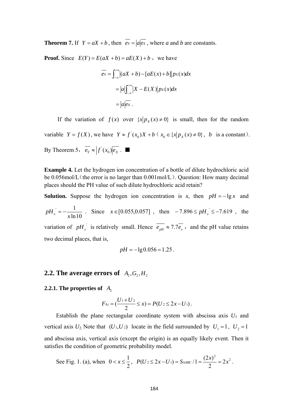**Theorem 7.** If  $Y = aX + b$ , then  $eY = |a| \overline{ex}$ , where *a* and *b* are constants.

**Proof.** Since  $E(Y) = E(aX + b) = aE(X) + b$ , we have

$$
\overline{e_Y} = \int_{-\infty}^{+\infty} [(aX + b) - [aE(x) + b]] px(x) dx
$$

$$
= |a| \int_{-\infty}^{+\infty} |X - E(X)| px(x) dx
$$

$$
= |a| \overline{ex}.
$$

If the variation of  $f(x)$  over  $\{x | p_x(x) \neq 0\}$  is small, then for the random variable  $Y = f(X)$ , we have  $Y \approx f'(x_0)X + b(x_0) \in \{x | p_X(x) \neq 0\}$ , b is a constant). By Theorem 5,  $e_Y \approx |f'(x_0)|e_X$ .

**Example 4.** Let the hydrogen ion concentration of a bottle of dilute hydrochloric acid be 0.056mol/L (the error is no larger than 0.001mol/L). Question: How many decimal places should the PH value of such dilute hydrochloric acid retain?

**Solution.** Suppose the hydrogen ion concentration is *x*, then  $pH = -\lg x$  and  $ln 10$  $\sim$  1  $pH_x = -\frac{1}{x \ln 10}$ . Since  $x \in [0.055, 0.057]$ , then  $-7.896 \le pH_x \le -7.619$ , the variation of  $pH_x$  is relatively small. Hence  $\overline{e_{pH}} \approx 7.7 \overline{e_x}$ , and the pH value retains two decimal places, that is,

$$
pH = -\lg 0.056 = 1.25
$$
.

## **2.2. The average errors of**  $A_2, G_2, H_2$

#### **2.2.1. The properties of**  $A$

$$
F_{A_2} = \left(\frac{U_1 + U_2}{2} \le x\right) = P(U_2 \le 2x - U_1).
$$

Establish the plane rectangular coordinate system with abscissa axis  $U_1$  and vertical axis  $U_2$ . Note that  $(U_1, U_2)$  locate in the field surrounded by  $U_1 = 1$ ,  $U_2 = 1$ and abscissa axis, vertical axis (except the origin) is an equally likely event. Then it satisfies the condition of geometric probability model.

See Fig. 1. (a), when 
$$
0 < x \le \frac{1}{2}
$$
,  $P(U_2 \le 2x - U_1) = S_{\text{AABC}}/1 = \frac{(2x)^2}{2} = 2x^2$ .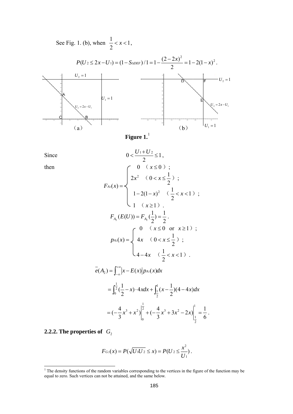See Fig. 1. (b), when  $\frac{1}{2} < x < 1$ 2  $\frac{1}{2}$  < *x* < 1,



Since

Since  
\n
$$
0 < \frac{U_1 + U_2}{2} \le 1,
$$
\nthen  
\n
$$
F_{A_2}(x) = \begin{cases}\n0 & (x \le 0) ; \\
2x^2 & (0 < x \le \frac{1}{2}) ; \\
1 - 2(1 - x)^2 & (\frac{1}{2} < x < 1) ; \\
1 & (x \ge 1) .\n\end{cases}
$$
\n
$$
F_{A_2}(E(U)) = F_{A_2}(\frac{1}{2}) = \frac{1}{2}.
$$
\n
$$
p_{A_2}(x) = \begin{cases}\n0 & (x \le 0 \text{ or } x \ge 1) ; \\
4x & (0 < x \le \frac{1}{2}) ; \\
4 - 4x & (\frac{1}{2} < x < 1) .\n\end{cases}
$$
\n
$$
= (\frac{1}{2})^{\frac{1}{2}}(1 - x) \cdot 4x dx + \int_{\frac{1}{2}}^1 (x - \frac{1}{2})(4 - 4x) dx
$$
\n
$$
= (-\frac{4}{3}x^3 + x^2)\Big|_{0}^{\frac{1}{2}} + (-\frac{4}{3}x^3 + 3x^2 - 2x)\Big|_{\frac{1}{2}}^1 = \frac{1}{6}
$$

### **2.2.2. The properties of**  $G_2$

$$
F_{G_2}(x) = P(\sqrt{U_1U_2} \le x) = P(U_2 \le \frac{x^2}{U_1}).
$$

 $\mathbf{0}$ 

 $= (-\frac{4}{3}x^3 + x^2)|^2 + (-\frac{4}{3}x^3 + 3x^2 - 2x)|^2 = \frac{1}{3}$ .

2 1

<span id="page-8-0"></span><sup>&</sup>lt;sup>1</sup> The density functions of the random variables corresponding to the vertices in the figure of the function may be equal to zero. Such vertices can not be attained, and the same below.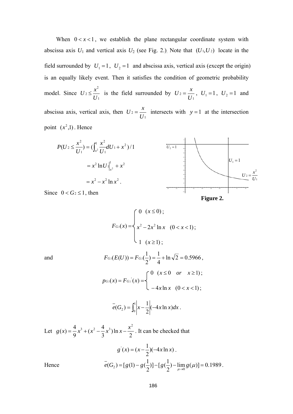When  $0 < x < 1$ , we establish the plane rectangular coordinate system with abscissa axis  $U_1$  and vertical axis  $U_2$  (see Fig. 2.). Note that  $(U_1, U_2)$  locate in the field surrounded by  $U_1 = 1$ ,  $U_2 = 1$  and abscissa axis, vertical axis (except the origin) is an equally likely event. Then it satisfies the condition of geometric probability model. Since 1 2  $2 \leq \frac{U}{U}$  $U_2 \leq \frac{x^2}{x}$  is the field surrounded by 1  $2 = \frac{U}{U}$  $U_2 = \frac{x}{U_1}$ ,  $U_1 = 1$ ,  $U_2 = 1$  and abscissa axis, vertical axis, then 1  $2 = \frac{U}{U}$  $U_2 = \frac{x}{x}$  intersects with  $y = 1$  at the intersection point  $(x^2,1)$ . Hence





Since  $0 < G_2 \leq 1$ , then

$$
F_{G_2}(x) = \begin{cases} 0 & (x \le 0); \\ x^2 - 2x^2 \ln x & (0 < x < 1); \\ 1 & (x \ge 1); \end{cases}
$$

and 
$$
F_{G_2}(E(U)) = F_{G_2}(\frac{1}{2}) = \frac{1}{4} + \ln \sqrt{2} = 0.5966,
$$

$$
p_{G_2}(x) = F_{G_2}(x) = \begin{cases} 0 & (x \le 0 & or x \ge 1); \\ -4x \ln x & (0 < x < 1); \end{cases}
$$

$$
e(G_2) = \int_0^1 \left| x - \frac{1}{2} \right| (-4x \ln x) dx.
$$

Let  $g(x) = \frac{4}{9}x^3 + (x^2 - \frac{4}{3}x^3) \ln x - \frac{x^2}{2}$ . It can be checked that

$$
g'(x) = (x - \frac{1}{2})(-4x \ln x).
$$
  
Hence 
$$
\overline{e}(G_2) = [g(1) - g(\frac{1}{2})] - [g(\frac{1}{2}) - \lim_{\mu \to 0} g(\mu)] = 0.1989.
$$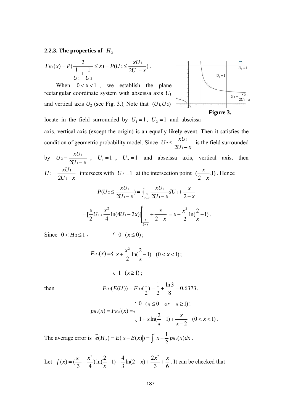**2.2.3. The properties of**  $H_2$ 

$$
F_{H_2}(x) = P(\frac{2}{\frac{1}{U_1} + \frac{1}{U_2}} \le x) = P(U_2 \le \frac{xU_1}{2U_1 - x}).
$$
  
\nWhen  $0 < x < 1$ , we establish the plane  
\nrectangular coordinate system with abscissa axis  $U_1$   
\nand vertical axis  $U_2$  (see Fig. 3.) Note that  $(U_1, U_2)$   
\nlocate in the field surrounded by  $U_1 = 1$ ,  $U_2 = 1$  and abscissa  
\naxis, vertical axis (except the origin) is an equally likely event. Then it satisfies the  
\ncondition of geometric probability model. Since  $U_2 \le \frac{xU_1}{2U_1 - x}$  is the field surrounded  
\nby  $U_2 = \frac{xU_1}{2U_1 - x}$ ,  $U_1 = 1$ ,  $U_2 = 1$  and abscissa axis, vertical axis, then  
\n $U_2 = \frac{xU_1}{2U_1 - x}$  intersects with  $U_2 = 1$  at the intersection point  $(\frac{x}{2 - x}, 1)$ . Hence  
\n
$$
P(U_2 \le \frac{xU_1}{2U_1 - x}) = \int_{\frac{x}{2 - x}}^1 \frac{xU_1}{2U_1 - x} dU_1 + \frac{x}{2 - x}
$$
\n
$$
= [\frac{x}{2}U_1 + \frac{x^2}{4} \ln(4U_1 - 2x)] \Big|_{\frac{x}{2 - x}}^1 + \frac{x}{2 - x} = x + \frac{x^2}{2} \ln(\frac{2}{x} - 1).
$$
  
\nSince  $0 < H_2 \le 1$ ,  
\n
$$
F_{H_2}(x) = \begin{cases} 0 & (x \le 0); \\ x + \frac{x^2}{2} \ln(\frac{2}{x} - 1) & (0 < x < 1); \end{cases}
$$

 $\begin{pmatrix} 1 & (x \geq 1); \end{pmatrix}$ 

then 
$$
F_{H_2}(E(U)) = F_{H_2}(\frac{1}{2}) = \frac{1}{2} + \frac{\ln 3}{8} = 0.6373,
$$

$$
p_{H_2}(x) = F_{H_2}(x) = \begin{cases} 0 & (x \le 0 \quad or \quad x \ge 1); \\ 1 + x \ln(\frac{2}{x} - 1) + \frac{x}{x - 2} & (0 < x < 1). \end{cases}
$$

The average error is  $\overline{e}(H_2) = E(|x - E(x)|) = \int_0^1 |x - \frac{1}{2}| p_{H_2}(x) dx$ .

Let  $f(x) = \left(\frac{x^3}{3} - \frac{x^2}{4}\right) \ln\left(\frac{2}{x} - 1\right) - \frac{4}{3} \ln(2 - x) + \frac{2x^2}{3} + \frac{x^2}{6}$ *x*  $f(x) = \left(\frac{x^3}{2} - \frac{x^2}{2}\right) \ln\left(\frac{2}{2}-1\right) - \frac{4}{2} \ln(2-x) + \frac{2x^2}{2} + \frac{x}{2}$ . It can be checked that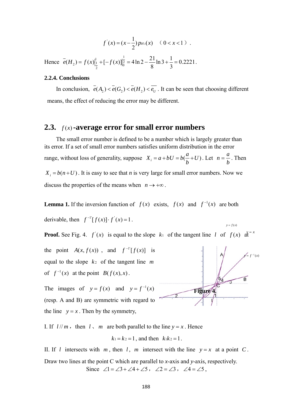$$
f'(x) = (x - \frac{1}{2}) p_{H_2}(x) \quad (0 < x < 1) .
$$

Hence  $e(H_2) = f(x)|_1^1 + [-f(x)]_2^2 = 4 \ln 2 - \frac{24}{3} \ln 3 + \frac{1}{2} = 0.2221$ 3  $\ln 3 + \frac{1}{3}$ 8  $(H_2) = f(x)|_1^1 + [-f(x)]_2^1 = 4 \ln 2 - \frac{21}{2}$ 0 1  $e(H_2) = f(x)\Big|_{\frac{1}{2}}^{\frac{1}{2}} + [-f(x)]\Big|_{0}^{\frac{1}{2}} = 4\ln 2 - \frac{21}{8}\ln 3 + \frac{1}{3} = 0.2221$ .

#### **2.2.4. Conclusions**

In conclusion,  $\overline{e}(A_2) \leq \overline{e}(G_2) \leq \overline{e}(H_2) \leq \overline{e}_{U}$ . It can be seen that choosing different means, the effect of reducing the error may be different.

## **2.3.**  $f(x)$ -average error for small error numbers

The small error number is defined to be a number which is largely greater than its error. If a set of small error numbers satisfies uniform distribution in the error range, without loss of generality, suppose  $X_i = a + bU = b(\frac{a}{b} + U)$ . Let  $n = \frac{a}{b}$  $n = \frac{a}{l}$ . Then  $X_i = b(n+U)$ . It is easy to see that *n* is very large for small error numbers. Now we discuss the properties of the means when  $n \to +\infty$ .

**Lemma 1.** If the inversion function of  $f(x)$  exists,  $f(x)$  and  $f^{-1}(x)$  are both

derivable, then  $f^{-1}[f(x)] \cdot f'(x) = 1$ .

**Proof.** See Fig. 4.  $f'(x)$  is equal to the slope  $k_1$  of the tangent line l of  $f(x)$   $\frac{d}{dx}$ 

the point  $A(x, f(x))$ , and  $f^{-1}[f(x)]$  is equal to the slope  $k_2$  of the tangent line m of  $f^{-1}(x)$  at the point  $B(f(x),x)$ .

The images of  $y = f(x)$  and  $y = f^{-1}(x)$ (resp. A and B) are symmetric with regard to the line  $y = x$ . Then by the symmetry,



 $y = f(x)$ 

I. If  $l / m$ , then  $l \leq m$  are both parallel to the line  $v = x$ . Hence

$$
k_1 = k_2 = 1
$$
, and then  $k_1k_2 = 1$ .

II. If *l* intersects with *m*, then *l*, *m* intersect with the line  $y = x$  at a point *C*. Draw two lines at the point C which are parallel to *x*-axis and *y*-axis, respectively. Since  $\angle 1 = \angle 3 + \angle 4 + \angle 5$ ,  $\angle 2 = \angle 3$ ,  $\angle 4 = \angle 5$ ,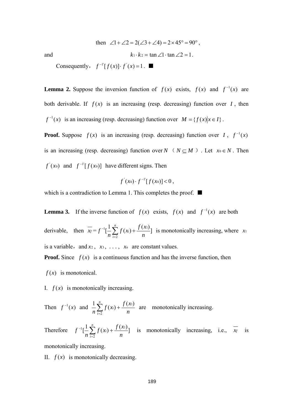then 
$$
\angle 1 + \angle 2 = 2(\angle 3 + \angle 4) = 2 \times 45^{\circ} = 90^{\circ}
$$
,  
and  
 $k_1 \cdot k_2 = \tan \angle 1 \cdot \tan \angle 2 = 1$ .

Consequently,  $f^{-1}[f(x)] \cdot f'(x) = 1$ .

**Lemma 2.** Suppose the inversion function of  $f(x)$  exists,  $f(x)$  and  $f^{-1}(x)$  are both derivable. If  $f(x)$  is an increasing (resp. decreasing) function over  $I$ , then  $f^{-1}(x)$  is an increasing (resp. decreasing) function over  $M = \{f(x) | x \in I\}$ .

**Proof.** Suppose  $f(x)$  is an increasing (resp. decreasing) function over *I*,  $f^{-1}(x)$ is an increasing (resp. decreasing) function over  $N \left( N \subseteq M \right)$ . Let  $x_0 \in N$ . Then  $f'(x_0)$  and  $f^{-1}[f(x_0)]$  have different signs. Then

$$
f'(x_0)\cdot f^{-1}[f(x_0)]<0\ ,
$$

which is a contradiction to Lemma 1. This completes the proof. ■

**Lemma 3.** If the inverse function of  $f(x)$  exists,  $f(x)$  and  $f^{-1}(x)$  are both derivable, then  $\overline{x_f} = f^{-1} \left[ \frac{1}{2} \sum_{i=1}^{n} f(x_i) + \frac{f(x_i)}{2} \right]$ 2 1 *n*  $f(x_i) + \frac{f(x_i)}{f(x_i)}$ *n f n*  $\frac{1}{n}$   $\left[ \frac{1}{n} \sum_{i=2}^{n} f(x_i) + \frac{f(x_1)}{n} \right]$  is monotonically increasing, where *x*<sub>1</sub> is a variable, and  $x_2$ ,  $x_3$ ,  $\ldots$ ,  $x_n$  are constant values. **Proof.** Since  $f(x)$  is a continuous function and has the inverse function, then

 $f(x)$  is monotonical.

I.  $f(x)$  is monotonically increasing.

Then  $f^{-1}(x)$  and *n*  $f(x_i) + \frac{f(x_i)}{f(x_i)}$ *n n i*  $\frac{1}{2} \sum_{i=1}^{n} f(x_i) + \frac{f(x_1)}{x_2}$  $\sum_{i=2} f(x_i) + \frac{f(x_i)}{n}$  are monotonically increasing.

Therefore  $f^{-1}[\frac{1}{2}\sum_{i=1}^{n}f(x_i)+\frac{f(x_1)}{2}]$ 2 1 *n*  $f(x_i) + \frac{f(x_i)}{f(x_i)}$ *n f n*  $\frac{1}{n} \left[ \frac{1}{n} \sum_{i=2}^{n} f(x_i) + \frac{f(x_1)}{n} \right]$  is monotonically increasing, i.e.,  $\overline{x_f}$  is

monotonically increasing.

II.  $f(x)$  is monotonically decreasing.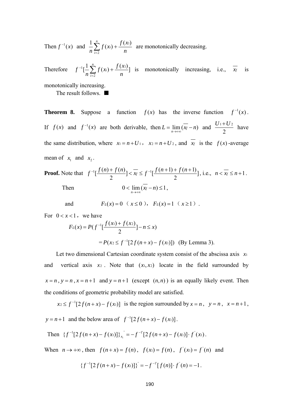Then  $f^{-1}(x)$  and *n*  $f(x_i) + \frac{f(x_i)}{f(x_i)}$ *n n i*  $\frac{1}{2} \sum_{i=1}^{n} f(x_i) + \frac{f(x_1)}{x_2}$  $\sum_{i=2} f(x_i) + \frac{f(x_i)}{n}$  are monotonically decreasing.

Therefore  $f^{-1}[\frac{1}{2}\sum_{i=1}^{n}f(x_i)+\frac{f(x_1)}{2}]$ 2 1 *n*  $f(x_i) + \frac{f(x_i)}{f(x_i)}$ *n f n*  $\frac{1}{n} \left[ \frac{1}{n} \sum_{i=2}^{n} f(x_i) + \frac{f(x_1)}{n} \right]$  is monotonically increasing, i.e.,  $\overline{x_f}$  is

monotonically increasing.

The result follows. ■

**Theorem 8.** Suppose a function  $f(x)$  has the inverse function  $f^{-1}(x)$ . If  $f(x)$  and  $f^{-1}(x)$  are both derivable, then  $L = \lim_{n \to \infty} (\overline{x_f} - n)$  and  $\frac{U + \overline{U}}{2}$  $\frac{U_1+U_2}{2}$  have the same distribution, where  $x_1 = n + U_1$ ,  $x_2 = n + U_2$ , and  $x_f$  is the  $f(x)$ -average mean of  $x_1$  and  $x_2$ .

**Proof.** Note that 
$$
f^{-1}[\frac{f(n) + f(n)}{2}] < \frac{1}{x_f} \le f^{-1}[\frac{f(n+1) + f(n+1)}{2}]
$$
, i.e.,  $n < \frac{1}{x_f} \le n+1$ .  
Then  $0 < \lim_{n \to +\infty} (\overline{x_f} - n) \le 1$ ,

and 
$$
F_L(x) = 0 \ (x \le 0), \ F_L(x) = 1 \ (x \ge 1).
$$

For  $0 < x < 1$ , we have

$$
F_L(x) = P(f^{-1}[\frac{f(x_1) + f(x_2)}{2}] - n \le x)
$$
  
=  $P(x_2 \le f^{-1}[2f(n+x) - f(x_1)])$  (By Lemma 3).

Let two dimensional Cartesian coordinate system consist of the abscissa axis *x*<sup>1</sup> and vertical axis  $x_2$ . Note that  $(x_1, x_2)$  locate in the field surrounded by  $x = n$ ,  $y = n$ ,  $x = n + 1$  and  $y = n + 1$  (except  $(n, n)$ ) is an equally likely event. Then the conditions of geometric probability model are satisfied.

 $x_2 \le f^{-1}[2f(n+x) - f(x)]$  is the region surrounded by  $x = n$ ,  $y = n$ ,  $x = n+1$ ,

 $y = n + 1$  and the below area of  $f^{-1}[2f(n + x) - f(x)]$ .

Then 
$$
{f^{-1}[2f(n+x)-f(x)]}_{x_1} = -f^{-1}[2f(n+x)-f(x)] \cdot f'(x_1)
$$
.

When  $n \to +\infty$ , then  $f(n+x) = f(n)$ ,  $f(x_1) = f(n)$ ,  $f'(x_1) = f'(n)$  and

$$
\{f^{-1}[2f(n+x)-f(x)]\}^{\prime}=-f^{-1}[f(n)]\cdot f^{(n)}=-1.
$$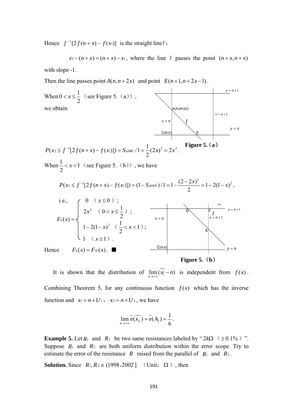Hence  $f^{-1}[2f(n+x)-f(x)]$  is the straight line *l*:

 $x_2 - (n+x) = (n+x) - x_1$ , where the line l passes the point  $(n+x, n+x)$ with slope -1.

Then the line passes point  $A(n, n+2x)$  and point  $E(n+1, n+2x-1)$ .



**Figure 5.**(**b**)

It is shown that the distribution of  $\lim_{n \to +\infty} (x_f - n)$  is independent from  $f(x)$ . Combining Theorem 5, for any continuous function  $f(x)$  which has the inverse function and  $x_1 = n + U_1$ ,  $x_2 = n + U_2$ , we have

$$
\lim_{n\to+\infty} \overline{e(x_f)} = \overline{e}(A_2) = \frac{1}{6}.
$$

**Example 5.** Let  $R_1$  and  $R_2$  be two same resistances labeled by " $2k\Omega$  ( $\pm 0.1\%$ )". Suppose  $R_1$  and  $R_2$  are both uniform distribution within the error scope. Try to estimate the error of the resistance *R* raised from the parallel of *R*1 and *R*<sup>2</sup> .

**Solution.** Since  $R_1, R_2 \in (1998, 2002)$  (Unit:  $\Omega$ ), then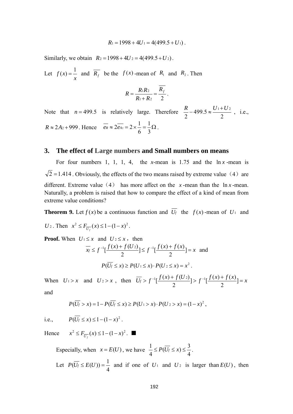$$
R_1 = 1998 + 4U_1 = 4(499.5 + U_1).
$$

Similarly, we obtain  $R_2 = 1998 + 4U_2 = 4(499.5 + U_2)$ .

Let  $f(x) = \frac{1}{x}$  and  $\overline{R_f}$  be the  $f(x)$ -mean of  $R_1$  and  $R_2$ . Then

$$
R = \frac{R_1 R_2}{R_1 + R_2} = \frac{R_f}{2}.
$$

Note that  $n = 499.5$  is relatively large. Therefore  $\frac{R}{2} - 499.5 \approx \frac{611}{2}$ 2  $\frac{R}{2}$  – 499.5  $\approx \frac{U_1 + U_2}{2}$ , i.e.,  $R \approx 2A_2 + 999$ . Hence  $e_R \approx 2e_{A_2} = 2 \times \frac{1}{e} = \frac{1}{2} \Omega$ 3 1 6  $\overline{e_R} \approx 2\overline{e_{A2}} = 2 \times \frac{1}{6} = \frac{1}{2} \Omega$ .

#### **3. The effect of Large numbers and Small numbers on means**

For four numbers 1, 1, 1, 4, the *x*-mean is 1.75 and the  $\ln x$ -mean is  $\sqrt{2}$  = 1.414. Obviously, the effects of the two means raised by extreme value (4) are different. Extreme value (4) has more affect on the  $x$ -mean than the  $\ln x$ -mean. Naturally, a problem is raised that how to compare the effect of a kind of mean from extreme value conditions?

**Theorem 9.** Let  $f(x)$  be a continuous function and  $U_f$  the  $f(x)$ -mean of  $U_1$  and

*U*<sub>2</sub>. Then  $x^2 \le F_{\overline{U_f}}(x) \le 1 - (1 - x)^2$ .

**Proof.** When  $U_1 \leq x$  and  $U_2 \leq x$ , then

$$
\overline{x_f} \le f^{-1} \left[ \frac{f(x) + f(U_2)}{2} \right] \le f^{-1} \left[ \frac{f(x) + f(x)}{2} \right] = x \text{ and }
$$
  

$$
P(\overline{U_f} \le x) \ge P(U_1 \le x) \cdot P(U_2 \le x) = x^2.
$$

When  $U_1 > x$  and  $U_2 > x$ , then  $\overline{U_f} > f^{-1} \left[ \frac{f(x) + f(U_2)}{2} \right] > f^{-1} \left[ \frac{f(x) + f(x)}{2} \right] = x$ and

$$
P(\overline{U_f} > x) = 1 - P(\overline{U_f} \le x) \ge P(U_1 > x) \cdot P(U_2 > x) = (1 - x)^2,
$$

i.e.,  $P(\overline{U_f} \le x) \le 1 - (1 - x)^2$ .

Hence  $x^2 \le F_{\overline{U_f}}(x) \le 1-(1-x)^2$ . ■

Especially, when  $x = E(U)$ , we have  $\frac{1}{4} \le P(\overline{U_f} \le x) \le \frac{3}{4}$ . Let 4  $P(\overline{U_f} \leq E(U)) = \frac{1}{I}$  and if one of  $U_1$  and  $U_2$  is larger than  $E(U)$ , then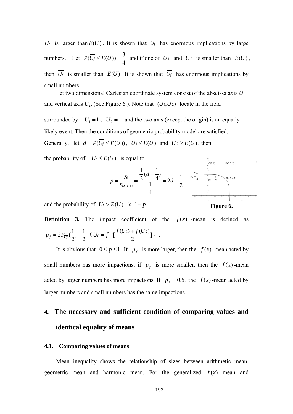$\overline{U_f}$  is larger than  $E(U)$ . It is shown that  $\overline{U_f}$  has enormous implications by large numbers. Let 4  $P(\overline{U_f} \leq E(U)) = \frac{3}{I}$  and if one of  $U_1$  and  $U_2$  is smaller than  $E(U)$ , then  $U_f$  is smaller than  $E(U)$ . It is shown that  $U_f$  has enormous implications by small numbers.

Let two dimensional Cartesian coordinate system consist of the abscissa axis *U*<sup>1</sup> and vertical axis  $U_2$ . (See Figure 6.). Note that  $(U_1, U_2)$  locate in the field

surrounded by  $U_1 = 1$ ,  $U_2 = 1$  and the two axis (except the origin) is an equally likely event. Then the conditions of geometric probability model are satisfied. Generally, let  $d = P(U_f \le E(U))$ ,  $U_1 \le E(U)$  and  $U_2 \ge E(U)$ , then

the probability of  $\overline{U_f} \leq E(U)$  is equal to



and the probability of  $\overline{U_f} > E(U)$  is  $1-p$ .

**Definition 3.** The impact coefficient of the  $f(x)$  -mean is defined as 2  $) - \frac{1}{2}$ 2  $p_f = 2F_{\overline{U_f}}(\frac{1}{2}) - \frac{1}{2}$   $(\overline{U_f} = f^{-1}[\frac{f(U_1) + f(U_2)}{2}])$ .

It is obvious that  $0 \le p \le 1$ . If  $p_f$  is more larger, then the  $f(x)$ -mean acted by small numbers has more impactions; if  $p_f$  is more smaller, then the  $f(x)$ -mean acted by larger numbers has more impactions. If  $p_f = 0.5$ , the  $f(x)$ -mean acted by larger numbers and small numbers has the same impactions.

# **4. The necessary and sufficient condition of comparing values and identical equality of means**

#### **4.1. Comparing values of means**

Mean inequality shows the relationship of sizes between arithmetic mean, geometric mean and harmonic mean. For the generalized  $f(x)$  -mean and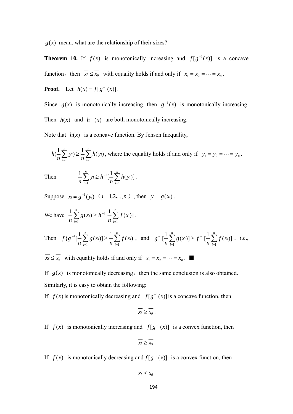$g(x)$ -mean, what are the relationship of their sizes?

**Theorem 10.** If  $f(x)$  is monotonically increasing and  $f[g^{-1}(x)]$  is a concave function, then  $x_f \le x_g$  with equality holds if and only if  $x_1 = x_2 = \cdots = x_n$ .

**Proof.** Let  $h(x) = f[g^{-1}(x)]$ .

Since  $g(x)$  is monotonically increasing, then  $g^{-1}(x)$  is monotonically increasing.

Then  $h(x)$  and  $h^{-1}(x)$  are both monotonically increasing.

Note that  $h(x)$  is a concave function. By Jensen Inequality,

$$
h\left(\frac{1}{n}\sum_{i=1}^n y_i\right) \ge \frac{1}{n}\sum_{i=1}^n h(y_i)
$$
, where the equality holds if and only if  $y_1 = y_2 = \cdots = y_n$ .

Then 
$$
\frac{1}{n}\sum_{i=1}^{n} y_i \ge h^{-1}[\frac{1}{n}\sum_{i=1}^{n} h(y_i)].
$$

Suppose  $x_i = g^{-1}(y_i)$   $(i = 1, 2, ..., n)$ , then  $y_i = g(x_i)$ .

We have 
$$
\frac{1}{n} \sum_{i=1}^{n} g(x_i) \ge h^{-1} [\frac{1}{n} \sum_{i=1}^{n} f(x_i)].
$$

*n*

Then 
$$
f\{g^{-1}[\frac{1}{n}\sum_{i=1}^{n}g(x_i)]\geq \frac{1}{n}\sum_{i=1}^{n}f(x_i)
$$
, and  $g^{-1}[\frac{1}{n}\sum_{i=1}^{n}g(x_i)] \geq f^{-1}[\frac{1}{n}\sum_{i=1}^{n}f(x_i)]$ , i.e.,

 $\overline{x_f} \le \overline{x_g}$  with equality holds if and only if  $x_1 = x_2 = \cdots = x_n$ .

If  $g(x)$  is monotonically decreasing, then the same conclusion is also obtained. Similarly, it is easy to obtain the following:

If  $f(x)$  is monotonically decreasing and  $f[g^{-1}(x)]$  is a concave function, then

$$
\overline{x_f} \geq \overline{x_g}.
$$

If  $f(x)$  is monotonically increasing and  $f[g^{-1}(x)]$  is a convex function, then

$$
\overline{x_f} \geq \overline{x_g}.
$$

If  $f(x)$  is monotonically decreasing and  $f[g^{-1}(x)]$  is a convex function, then

$$
\overline{x_f} \leq \overline{x_g} \ .
$$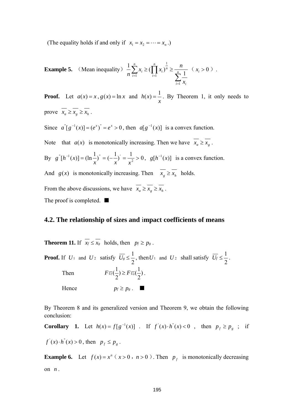(The equality holds if and only if  $x_1 = x_2 = \cdots = x_n$ .)

**Example 5.** (Mean inequality) 
$$
\frac{1}{n} \sum_{i=1}^{n} x_i \ge (\prod_{i=1}^{n} x_i)^{\frac{1}{n}} \ge \frac{n}{\sum_{i=1}^{n} \frac{1}{x_i}}
$$
  $(x_i > 0)$ .

**Proof.** Let  $a(x) = x$ ,  $g(x) = \ln x$  and *x*  $h(x) = \frac{1}{x}$ . By Theorem 1, it only needs to prove  $\overline{x_a} \ge \overline{x_s} \ge \overline{x_h}$ .

Since  $a^{\dagger} [g^{-1}(x)] = (e^x)^{\dagger} = e^x > 0$ , then  $a[g^{-1}(x)]$  is a convex function.

Note that *a(x)* is monotonically increasing. Then we have  $\overline{x_a} \ge \overline{x_g}$ .

By  $g''[h^{-1}(x)] = (\ln \frac{1}{x})^{\frac{1}{x}} = (-\frac{1}{x})^{\frac{1}{x}} = \frac{1}{x^2} > 0$ *xx x*  $g^{\prime}[h^{-1}(x)] = (\ln \frac{1}{h})^{\prime} = (-\frac{1}{h})^{\prime} = \frac{1}{h} > 0$ ,  $g[h^{-1}(x)]$  is a convex function.

And *g*(*x*) is monotonically increasing. Then  $\overline{x_g} \ge \overline{x_h}$  holds.

From the above discussions, we have  $\overline{x_a} \ge \overline{x_s} \ge \overline{x_h}$ . The proof is completed. ■

### **4.2. The relationship of sizes and** i**mpact coefficients of means**

**Theorem 11.** If  $\overline{x_f} \leq \overline{x_g}$  holds, then  $p_f \geq p_g$ .

**Proof.** If  $U_1$  and  $U_2$  satisfy  $\overline{U_s} \leq \frac{1}{2}$ , then  $U_1$  and  $U_2$  shall satisfy  $\overline{U_f} \leq \frac{1}{2}$ . Then  $F \overline{u}_{f}(\frac{1}{2}) \geq F \overline{u}_{g}(\frac{1}{2})$  $F \overline{\upsilon_f}(\frac{1}{2}) \geq F \overline{\upsilon_s}(\frac{1}{2})$ .

$$
U_f(\frac{\overline{u}}{2})\geq F U_s(\frac{\overline{u}}{2})
$$

Hence  $p_f \geq p_g$ .

By Theorem 8 and its generalized version and Theorem 9, we obtain the following conclusion:

**Corollary 1.** Let 
$$
h(x) = f[g^{-1}(x)]
$$
. If  $f'(x) \cdot h''(x) < 0$ , then  $p_f \geq p_g$ ; if  $f'(x) \cdot h''(x) > 0$ , then  $p_f \leq p_g$ .

**Example 6.** Let  $f(x) = x^n$  ( $x > 0$ ,  $n > 0$ ). Then  $p_f$  is monotonically decreasing on  $n$ .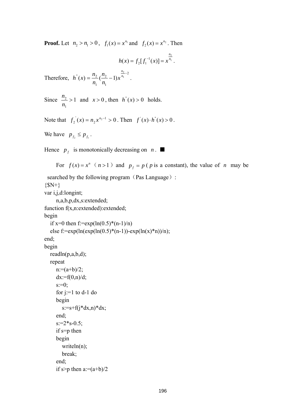**Proof.** Let  $n_2 > n_1 > 0$ ,  $f_1(x) = x^{n_1}$  and  $f_2(x) = x^{n_2}$ . Then

$$
h(x) = f_2[f_1^{-1}(x)] = x^{\frac{n_2}{n_1}}.
$$

Therefore,  $h''(x) = \frac{n_2}{2} (\frac{n_2}{2} - 1) x^{\frac{n_2}{n_1} - 2}$ 1 2 1  $f(x) = \frac{n_2}{(n_2 - 1)x} \frac{n_2}{n_1 - 1}$ *n x n n n*  $h''(x) = \frac{n_2}{2} (\frac{n_2}{2} - 1)x^{\frac{n_2}{n_1} - 2}$ .

Since  $\frac{n_2}{n_1} > 1$ 1  $\frac{2}{ }$  > *n*  $n_2$  > 1 and  $x > 0$ , then  $h''(x) > 0$  holds.

Note that  $f_2(x) = n_2 x^{n_2 - 1} > 0$ . Then  $f'(x) \cdot h'(x) > 0$ .  $f_2(x) = n_2 x^{n_2 - 1} > 0$ . Then  $f'(x) \cdot h''(x) > 0$ 

We have  $p_{f_2} \leq p_{f_1}$ .

Hence  $p_f$  is monotonically decreasing on *n*.

For  $f(x) = x^n$  ( $n > 1$ ) and  $p_f = p$  ( $p$  is a constant), the value of  $n$  may be searched by the following program (Pas Language):  ${}_{\{SN+}\}$ var i,j,d:longint; n,a,b,p,dx,s:extended; function f(x,n:extended):extended; begin if  $x=0$  then  $f:=exp(ln(0.5)*(n-1)/n)$ else f:=exp(ln(exp(ln(0.5)\*(n-1))-exp(ln(x)\*n))/n); end; begin readln(p,a,b,d); repeat  $n:=(a+b)/2;$  $dx:=f(0,n)/d$ ;  $s:=0$ ; for  $j:=1$  to  $d-1$  do begin  $s:=s+f(j*dx,n)*dx;$  end;  $s:=2*s-0.5;$  if s=p then begin writeln(n); break;

```
 end; 
if s>p then a:=(a+b)/2
```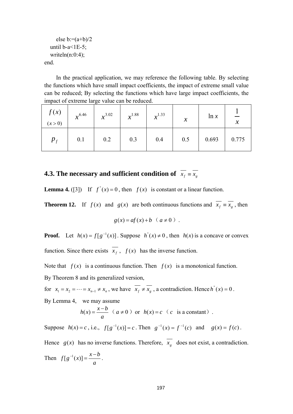```
else b:=(a+b)/2until b-a<1E-5;
  writeln(n:0:4);
end.
```
 In the practical application, we may reference the following table. By selecting the functions which have small impact coefficients, the impact of extreme small value can be reduced; By selecting the functions which have large impact coefficients, the impact of extreme large value can be reduced.

| f(x)<br>(x > 0) | $x^{6.46}$ | $x^{3.02}$ | $x^{1.88}$ | $x^{1.33}$ | $\boldsymbol{\mathcal{X}}$ | ln x  | $\boldsymbol{\mathcal{X}}$ |
|-----------------|------------|------------|------------|------------|----------------------------|-------|----------------------------|
| $p_f$           | 0.1        | 0.2        | 0.3        | 0.4        | 0.5                        | 0.693 | 0.775                      |

# **4.3. The necessary and sufficient condition of**  $\overline{x_f} = \overline{x_g}$

**Lemma 4.** ([3]) If  $f''(x) = 0$ , then  $f(x)$  is constant or a linear function.

**Theorem 12.** If  $f(x)$  and  $g(x)$  are both continuous functions and  $\overline{x_f} = \overline{x_g}$ , then

$$
g(x) = af(x) + b \quad (a \neq 0)
$$

**Proof.** Let  $h(x) = f[g^{-1}(x)]$ . Suppose  $h''(x) \neq 0$ , then  $h(x)$  is a concave or convex function. Since there exists  $x_f$ ,  $f(x)$  has the inverse function.

Note that  $f(x)$  is a continuous function. Then  $f(x)$  is a monotonical function. By Theorem 8 and its generalized version,

for  $x_1 = x_2 = \cdots = x_{n-1} \neq x_n$ , we have  $\overline{x_f} \neq \overline{x_g}$ , a contradiction. Hence  $h''(x) = 0$ . By Lemma 4, we may assume

$$
h(x) = \frac{x-b}{a} \quad (a \neq 0) \text{ or } h(x) = c \quad (c \text{ is a constant}).
$$

Suppose  $h(x) = c$ , i.e.,  $f[g^{-1}(x)] = c$ . Then  $g^{-1}(x) = f^{-1}(c)$  and  $g(x) = f(c)$ . Hence  $g(x)$  has no inverse functions. Therefore,  $\overline{x_g}$  does not exist, a contradiction.

Then *a*  $f[g^{-1}(x)] = \frac{x-b}{x}$ .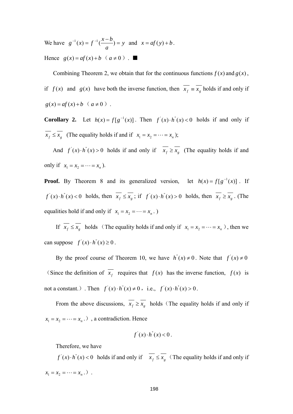We have  $g^{-1}(x) = f^{-1}(\frac{x-y}{x}) = y$ *a*  $g^{-1}(x) = f^{-1}(\frac{x-b}{x}) = y$  and  $x = af(y) + b$ . Hence  $g(x) = af(x) + b$  ( $a \ne 0$ ).

Combining Theorem 2, we obtain that for the continuous functions  $f(x)$  and  $g(x)$ , if  $f(x)$  and  $g(x)$  have both the inverse function, then  $x_f \equiv x_g$  holds if and only if  $g(x) = af(x) + b$  ( $a \ne 0$ ).

**Corollary 2.** Let  $h(x) = f[g^{-1}(x)]$ . Then  $f'(x) \cdot h'(x) < 0$  holds if and only if  $\overline{x_f} \le \overline{x_g}$  (The equality holds if and if  $x_1 = x_2 = \cdots = x_n$ );

And  $f'(x) \cdot h''(x) > 0$  holds if and only if  $\overline{x_f} \ge \overline{x_g}$  (The equality holds if and only if  $x_1 = x_2 = \cdots = x_n$ ).

**Proof.** By Theorem 8 and its generalized version, let  $h(x) = f[g^{-1}(x)]$ . If  $f'(x) \cdot h''(x) < 0$  holds, then  $x_f \le x_g$ ; if  $f'(x) \cdot h''(x) > 0$  holds, then  $x_f \ge x_g$ . (The equalities hold if and only if  $x_1 = x_2 = \cdots = x_n$ .

If  $\overline{x_f} \le \overline{x_g}$  holds (The equality holds if and only if  $x_1 = x_2 = \cdots = x_n$ ), then we can suppose  $f'(x) \cdot h''(x) \ge 0$ .

By the proof course of Theorem 10, we have  $h''(x) \neq 0$ . Note that  $f'(x) \neq 0$ (Since the definition of  $x_f$  requires that  $f(x)$  has the inverse function,  $f(x)$  is not a constant.). Then  $f'(x) \cdot h''(x) \neq 0$ , i.e.,  $f'(x) \cdot h''(x) > 0$ .

From the above discussions,  $\overline{x_f} \ge \overline{x_g}$  holds (The equality holds if and only if  $x_1 = x_2 = \cdots = x_n$ .), a contradiction. Hence

$$
f'(x) \cdot h''(x) < 0.
$$

Therefore, we have

 $f'(x) \cdot h''(x) < 0$  holds if and only if  $\overline{x_f} \leq \overline{x_g}$  (The equality holds if and only if  $x_1 = x_2 = \cdots = x_n$ .